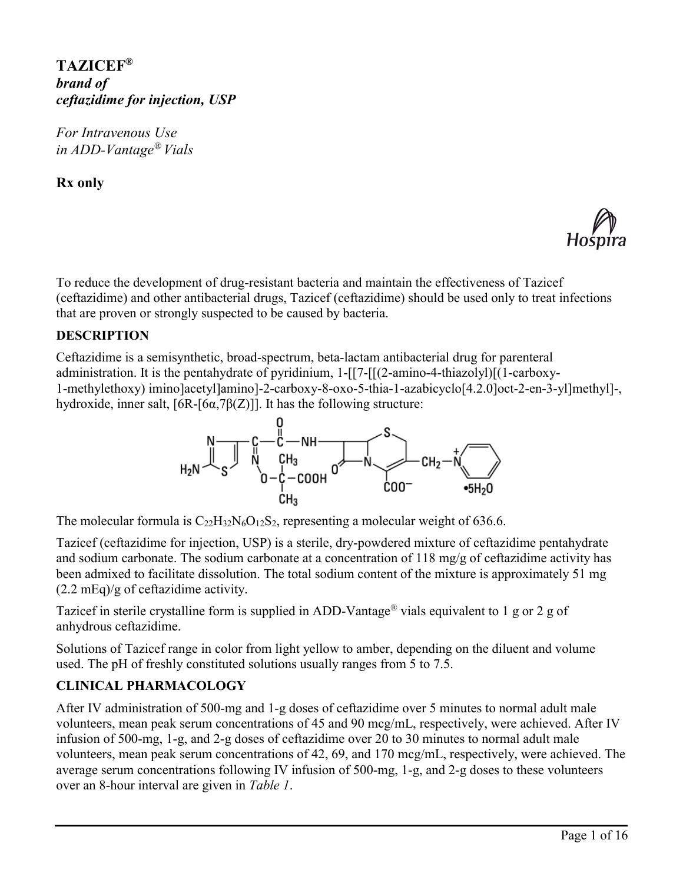**TAZICEF®** *brand of ceftazidime for injection, USP*

*For Intravenous Use in ADD-Vantage® Vials*

**Rx only**



To reduce the development of drug-resistant bacteria and maintain the effectiveness of Tazicef (ceftazidime) and other antibacterial drugs, Tazicef (ceftazidime) should be used only to treat infections that are proven or strongly suspected to be caused by bacteria.

## **DESCRIPTION**

Ceftazidime is a semisynthetic, broad-spectrum, beta-lactam antibacterial drug for parenteral administration. It is the pentahydrate of pyridinium, 1-[[7-[[(2-amino-4-thiazolyl)[(1-carboxy-1-methylethoxy) imino]acetyl]amino]-2-carboxy-8-oxo-5-thia-1-azabicyclo[4.2.0]oct-2-en-3-yl]methyl]-, hydroxide, inner salt, [6R-[6α,7β(Z)]]. It has the following structure:



The molecular formula is  $C_{22}H_{32}N_6O_{12}S_2$ , representing a molecular weight of 636.6.

Tazicef (ceftazidime for injection, USP) is a sterile, dry-powdered mixture of ceftazidime pentahydrate and sodium carbonate. The sodium carbonate at a concentration of 118 mg/g of ceftazidime activity has been admixed to facilitate dissolution. The total sodium content of the mixture is approximately 51 mg  $(2.2 \text{ mEq})$ /g of ceftazidime activity.

Tazicef in sterile crystalline form is supplied in ADD-Vantage® vials equivalent to 1 g or 2 g of anhydrous ceftazidime.

Solutions of Tazicef range in color from light yellow to amber, depending on the diluent and volume used. The pH of freshly constituted solutions usually ranges from 5 to 7.5.

# **CLINICAL PHARMACOLOGY**

After IV administration of 500-mg and 1-g doses of ceftazidime over 5 minutes to normal adult male volunteers, mean peak serum concentrations of 45 and 90 mcg/mL, respectively, were achieved. After IV infusion of 500-mg, 1-g, and 2-g doses of ceftazidime over 20 to 30 minutes to normal adult male volunteers, mean peak serum concentrations of 42, 69, and 170 mcg/mL, respectively, were achieved. The average serum concentrations following IV infusion of 500-mg, 1-g, and 2-g doses to these volunteers over an 8-hour interval are given in *Table 1*.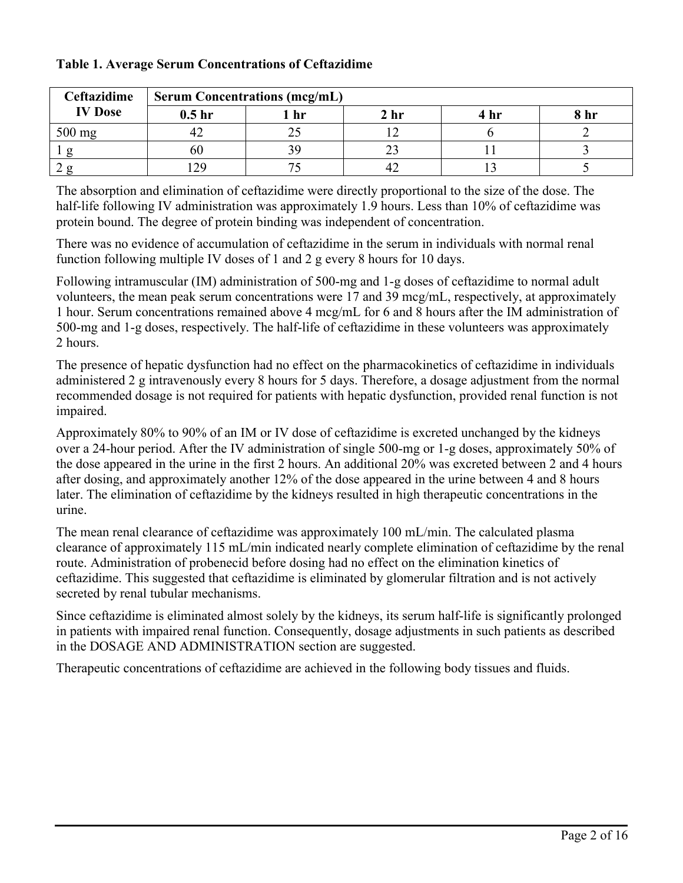## **Table 1. Average Serum Concentrations of Ceftazidime**

| Ceftazidime    | <b>Serum Concentrations (mcg/mL)</b> |    |                 |      |      |
|----------------|--------------------------------------|----|-----------------|------|------|
| <b>IV</b> Dose | 0.5 <sub>hr</sub>                    | hr | 2 <sub>hr</sub> | 4 hr | 8 hr |
| 500 mg         |                                      |    |                 |      |      |
|                | 60                                   | 39 |                 |      |      |
|                | 00                                   |    |                 |      |      |

The absorption and elimination of ceftazidime were directly proportional to the size of the dose. The half-life following IV administration was approximately 1.9 hours. Less than 10% of ceftazidime was protein bound. The degree of protein binding was independent of concentration.

There was no evidence of accumulation of ceftazidime in the serum in individuals with normal renal function following multiple IV doses of 1 and 2 g every 8 hours for 10 days.

Following intramuscular (IM) administration of 500-mg and 1-g doses of ceftazidime to normal adult volunteers, the mean peak serum concentrations were 17 and 39 mcg/mL, respectively, at approximately 1 hour. Serum concentrations remained above 4 mcg/mL for 6 and 8 hours after the IM administration of 500-mg and 1-g doses, respectively. The half-life of ceftazidime in these volunteers was approximately 2 hours.

The presence of hepatic dysfunction had no effect on the pharmacokinetics of ceftazidime in individuals administered 2 g intravenously every 8 hours for 5 days. Therefore, a dosage adjustment from the normal recommended dosage is not required for patients with hepatic dysfunction, provided renal function is not impaired.

Approximately 80% to 90% of an IM or IV dose of ceftazidime is excreted unchanged by the kidneys over a 24-hour period. After the IV administration of single 500-mg or 1-g doses, approximately 50% of the dose appeared in the urine in the first 2 hours. An additional 20% was excreted between 2 and 4 hours after dosing, and approximately another 12% of the dose appeared in the urine between 4 and 8 hours later. The elimination of ceftazidime by the kidneys resulted in high therapeutic concentrations in the urine.

The mean renal clearance of ceftazidime was approximately 100 mL/min. The calculated plasma clearance of approximately 115 mL/min indicated nearly complete elimination of ceftazidime by the renal route. Administration of probenecid before dosing had no effect on the elimination kinetics of ceftazidime. This suggested that ceftazidime is eliminated by glomerular filtration and is not actively secreted by renal tubular mechanisms.

Since ceftazidime is eliminated almost solely by the kidneys, its serum half-life is significantly prolonged in patients with impaired renal function. Consequently, dosage adjustments in such patients as described in the DOSAGE AND ADMINISTRATION section are suggested.

Therapeutic concentrations of ceftazidime are achieved in the following body tissues and fluids.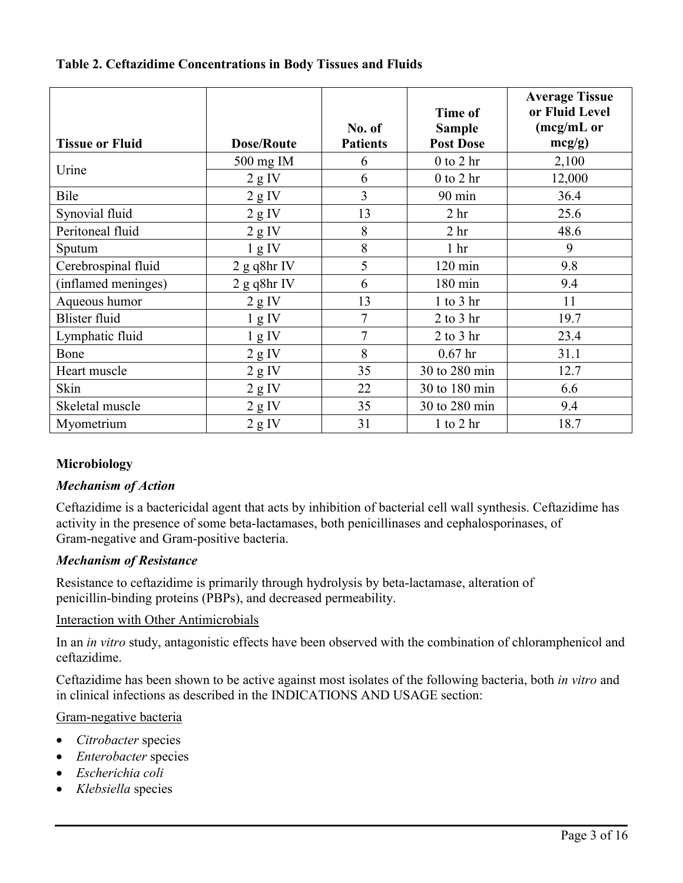| <b>Tissue or Fluid</b> | <b>Dose/Route</b> | No. of<br><b>Patients</b> | Time of<br><b>Sample</b><br><b>Post Dose</b> | <b>Average Tissue</b><br>or Fluid Level<br>(mcg/mL or<br>$mcg/g$ ) |
|------------------------|-------------------|---------------------------|----------------------------------------------|--------------------------------------------------------------------|
|                        |                   |                           |                                              |                                                                    |
| Urine                  | 500 mg IM         | 6                         | $0$ to $2$ hr                                | 2,100                                                              |
|                        | 2 g IV            | 6                         | $0$ to $2$ hr                                | 12,000                                                             |
| Bile                   | 2 g IV            | 3                         | 90 min                                       | 36.4                                                               |
| Synovial fluid         | 2 g IV            | 13                        | 2 <sub>hr</sub>                              | 25.6                                                               |
| Peritoneal fluid       | 2 g IV            | 8                         | 2 <sup>hr</sup>                              | 48.6                                                               |
| Sputum                 | 1 g IV            | 8                         | 1 <sup>hr</sup>                              | 9                                                                  |
| Cerebrospinal fluid    | $2$ g q8hr IV     | 5                         | $120 \text{ min}$                            | 9.8                                                                |
| (inflamed meninges)    | $2$ g q8hr IV     | 6                         | 180 min                                      | 9.4                                                                |
| Aqueous humor          | 2 g IV            | 13                        | $1$ to $3$ hr                                | 11                                                                 |
| <b>Blister fluid</b>   | 1 g IV            | $\overline{7}$            | $2$ to $3$ hr                                | 19.7                                                               |
| Lymphatic fluid        | 1 g IV            | 7                         | $2$ to $3$ hr                                | 23.4                                                               |
| Bone                   | 2 g IV            | 8                         | 0.67 <sub>hr</sub>                           | 31.1                                                               |
| Heart muscle           | 2 g IV            | 35                        | 30 to 280 min                                | 12.7                                                               |
| Skin                   | 2 g IV            | 22                        | 30 to 180 min                                | 6.6                                                                |
| Skeletal muscle        | 2 g IV            | 35                        | 30 to 280 min                                | 9.4                                                                |
| Myometrium             | 2 g IV            | 31                        | $1$ to $2$ hr                                | 18.7                                                               |

## **Table 2. Ceftazidime Concentrations in Body Tissues and Fluids**

# **Microbiology**

## *Mechanism of Action*

Ceftazidime is a bactericidal agent that acts by inhibition of bacterial cell wall synthesis. Ceftazidime has activity in the presence of some beta-lactamases, both penicillinases and cephalosporinases, of Gram-negative and Gram-positive bacteria.

# *Mechanism of Resistance*

Resistance to ceftazidime is primarily through hydrolysis by beta-lactamase, alteration of penicillin-binding proteins (PBPs), and decreased permeability.

## Interaction with Other Antimicrobials

In an *in vitro* study, antagonistic effects have been observed with the combination of chloramphenicol and ceftazidime.

Ceftazidime has been shown to be active against most isolates of the following bacteria, both *in vitro* and in clinical infections as described in the INDICATIONS AND USAGE section:

## Gram-negative bacteria

- *Citrobacter* species
- *Enterobacter* species
- *Escherichia coli*
- *Klebsiella* species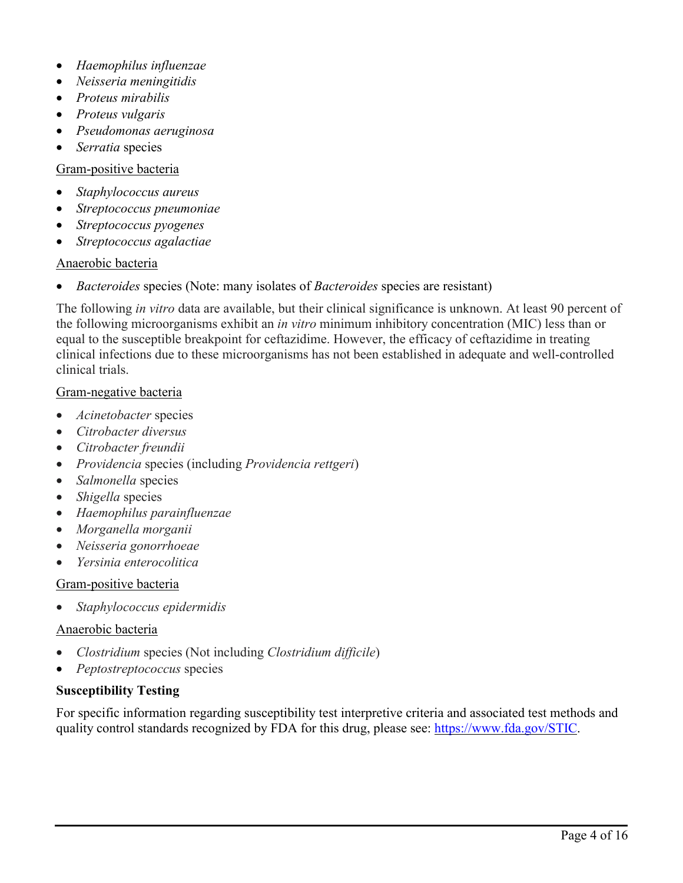- *Haemophilus influenzae*
- *Neisseria meningitidis*
- *Proteus mirabilis*
- *Proteus vulgaris*
- *Pseudomonas aeruginosa*
- *Serratia* species

#### Gram-positive bacteria

- *Staphylococcus aureus*
- *Streptococcus pneumoniae*
- *Streptococcus pyogenes*
- *Streptococcus agalactiae*

#### Anaerobic bacteria

*Bacteroides* species (Note: many isolates of *Bacteroides* species are resistant)

The following *in vitro* data are available, but their clinical significance is unknown. At least 90 percent of the following microorganisms exhibit an *in vitro* minimum inhibitory concentration (MIC) less than or equal to the susceptible breakpoint for ceftazidime. However, the efficacy of ceftazidime in treating clinical infections due to these microorganisms has not been established in adequate and well-controlled clinical trials.

#### Gram-negative bacteria

- *Acinetobacter* species
- *Citrobacter diversus*
- *Citrobacter freundii*
- *Providencia* species (including *Providencia rettgeri*)
- *Salmonella* species
- *Shigella* species
- *Haemophilus parainfluenzae*
- *Morganella morganii*
- *Neisseria gonorrhoeae*
- *Yersinia enterocolitica*

#### Gram-positive bacteria

*Staphylococcus epidermidis* 

#### Anaerobic bacteria

- *Clostridium* species (Not including *Clostridium difficile*)
- *Peptostreptococcus* species

## **Susceptibility Testing**

For specific information regarding susceptibility test interpretive criteria and associated test methods and quality control standards recognized by FDA for this drug, please see: [https://www.fda.gov/STIC.](https://www.fda.gov/STIC)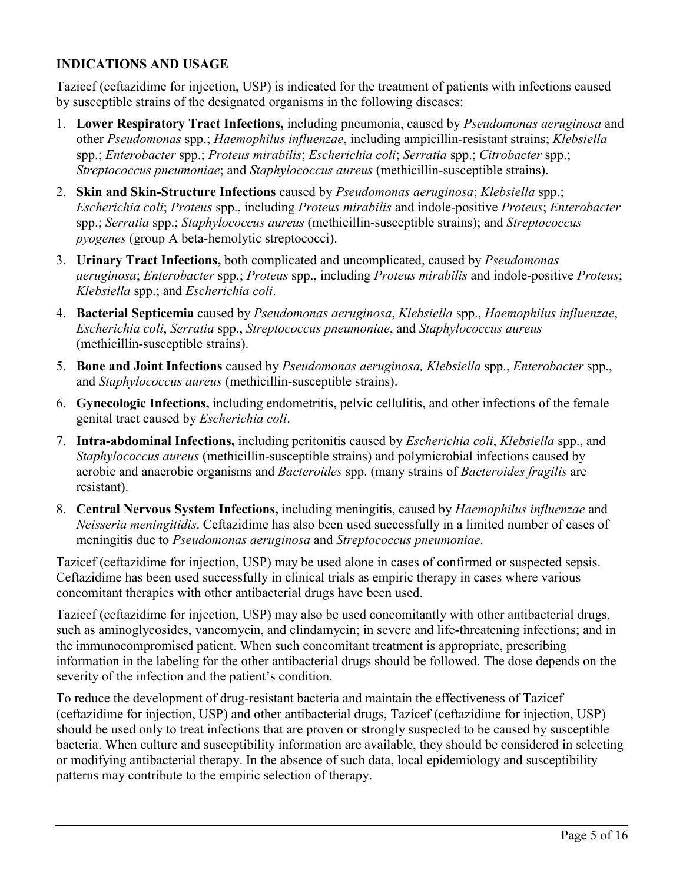# **INDICATIONS AND USAGE**

Tazicef (ceftazidime for injection, USP) is indicated for the treatment of patients with infections caused by susceptible strains of the designated organisms in the following diseases:

- 1. **Lower Respiratory Tract Infections,** including pneumonia, caused by *Pseudomonas aeruginosa* and other *Pseudomonas* spp.; *Haemophilus influenzae*, including ampicillin-resistant strains; *Klebsiella* spp.; *Enterobacter* spp.; *Proteus mirabilis*; *Escherichia coli*; *Serratia* spp.; *Citrobacter* spp.; *Streptococcus pneumoniae*; and *Staphylococcus aureus* (methicillin-susceptible strains).
- 2. **Skin and Skin-Structure Infections** caused by *Pseudomonas aeruginosa*; *Klebsiella* spp.; *Escherichia coli*; *Proteus* spp., including *Proteus mirabilis* and indole-positive *Proteus*; *Enterobacter* spp.; *Serratia* spp.; *Staphylococcus aureus* (methicillin-susceptible strains); and *Streptococcus pyogenes* (group A beta-hemolytic streptococci).
- 3. **Urinary Tract Infections,** both complicated and uncomplicated, caused by *Pseudomonas aeruginosa*; *Enterobacter* spp.; *Proteus* spp., including *Proteus mirabilis* and indole-positive *Proteus*; *Klebsiella* spp.; and *Escherichia coli*.
- 4. **Bacterial Septicemia** caused by *Pseudomonas aeruginosa*, *Klebsiella* spp., *Haemophilus influenzae*, *Escherichia coli*, *Serratia* spp., *Streptococcus pneumoniae*, and *Staphylococcus aureus* (methicillin-susceptible strains).
- 5. **Bone and Joint Infections** caused by *Pseudomonas aeruginosa, Klebsiella* spp., *Enterobacter* spp., and *Staphylococcus aureus* (methicillin-susceptible strains).
- 6. **Gynecologic Infections,** including endometritis, pelvic cellulitis, and other infections of the female genital tract caused by *Escherichia coli*.
- 7. **Intra-abdominal Infections,** including peritonitis caused by *Escherichia coli*, *Klebsiella* spp., and *Staphylococcus aureus* (methicillin-susceptible strains) and polymicrobial infections caused by aerobic and anaerobic organisms and *Bacteroides* spp. (many strains of *Bacteroides fragilis* are resistant).
- 8. **Central Nervous System Infections,** including meningitis, caused by *Haemophilus influenzae* and *Neisseria meningitidis*. Ceftazidime has also been used successfully in a limited number of cases of meningitis due to *Pseudomonas aeruginosa* and *Streptococcus pneumoniae*.

Tazicef (ceftazidime for injection, USP) may be used alone in cases of confirmed or suspected sepsis. Ceftazidime has been used successfully in clinical trials as empiric therapy in cases where various concomitant therapies with other antibacterial drugs have been used.

Tazicef (ceftazidime for injection, USP) may also be used concomitantly with other antibacterial drugs, such as aminoglycosides, vancomycin, and clindamycin; in severe and life-threatening infections; and in the immunocompromised patient. When such concomitant treatment is appropriate, prescribing information in the labeling for the other antibacterial drugs should be followed. The dose depends on the severity of the infection and the patient's condition.

To reduce the development of drug-resistant bacteria and maintain the effectiveness of Tazicef (ceftazidime for injection, USP) and other antibacterial drugs, Tazicef (ceftazidime for injection, USP) should be used only to treat infections that are proven or strongly suspected to be caused by susceptible bacteria. When culture and susceptibility information are available, they should be considered in selecting or modifying antibacterial therapy. In the absence of such data, local epidemiology and susceptibility patterns may contribute to the empiric selection of therapy.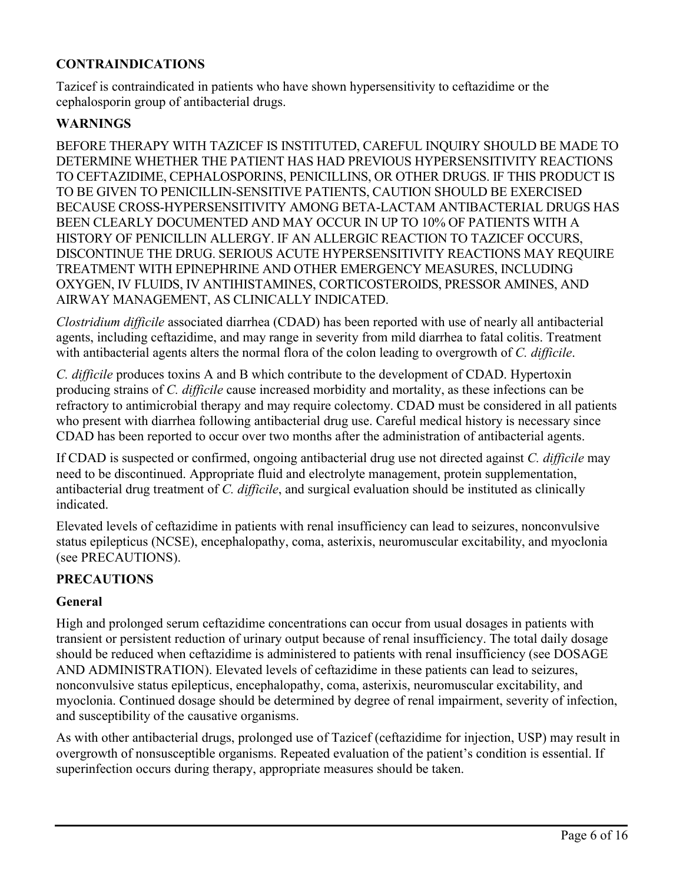# **CONTRAINDICATIONS**

Tazicef is contraindicated in patients who have shown hypersensitivity to ceftazidime or the cephalosporin group of antibacterial drugs.

## **WARNINGS**

BEFORE THERAPY WITH TAZICEF IS INSTITUTED, CAREFUL INQUIRY SHOULD BE MADE TO DETERMINE WHETHER THE PATIENT HAS HAD PREVIOUS HYPERSENSITIVITY REACTIONS TO CEFTAZIDIME, CEPHALOSPORINS, PENICILLINS, OR OTHER DRUGS. IF THIS PRODUCT IS TO BE GIVEN TO PENICILLIN-SENSITIVE PATIENTS, CAUTION SHOULD BE EXERCISED BECAUSE CROSS-HYPERSENSITIVITY AMONG BETA-LACTAM ANTIBACTERIAL DRUGS HAS BEEN CLEARLY DOCUMENTED AND MAY OCCUR IN UP TO 10% OF PATIENTS WITH A HISTORY OF PENICILLIN ALLERGY. IF AN ALLERGIC REACTION TO TAZICEF OCCURS, DISCONTINUE THE DRUG. SERIOUS ACUTE HYPERSENSITIVITY REACTIONS MAY REQUIRE TREATMENT WITH EPINEPHRINE AND OTHER EMERGENCY MEASURES, INCLUDING OXYGEN, IV FLUIDS, IV ANTIHISTAMINES, CORTICOSTEROIDS, PRESSOR AMINES, AND AIRWAY MANAGEMENT, AS CLINICALLY INDICATED.

*Clostridium difficile* associated diarrhea (CDAD) has been reported with use of nearly all antibacterial agents, including ceftazidime, and may range in severity from mild diarrhea to fatal colitis. Treatment with antibacterial agents alters the normal flora of the colon leading to overgrowth of *C. difficile*.

*C. difficile* produces toxins A and B which contribute to the development of CDAD. Hypertoxin producing strains of *C. difficile* cause increased morbidity and mortality, as these infections can be refractory to antimicrobial therapy and may require colectomy. CDAD must be considered in all patients who present with diarrhea following antibacterial drug use. Careful medical history is necessary since CDAD has been reported to occur over two months after the administration of antibacterial agents.

If CDAD is suspected or confirmed, ongoing antibacterial drug use not directed against *C. difficile* may need to be discontinued. Appropriate fluid and electrolyte management, protein supplementation, antibacterial drug treatment of *C. difficile*, and surgical evaluation should be instituted as clinically indicated.

Elevated levels of ceftazidime in patients with renal insufficiency can lead to seizures, nonconvulsive status epilepticus (NCSE), encephalopathy, coma, asterixis, neuromuscular excitability, and myoclonia (see PRECAUTIONS).

# **PRECAUTIONS**

## **General**

High and prolonged serum ceftazidime concentrations can occur from usual dosages in patients with transient or persistent reduction of urinary output because of renal insufficiency. The total daily dosage should be reduced when ceftazidime is administered to patients with renal insufficiency (see DOSAGE AND ADMINISTRATION). Elevated levels of ceftazidime in these patients can lead to seizures, nonconvulsive status epilepticus, encephalopathy, coma, asterixis, neuromuscular excitability, and myoclonia. Continued dosage should be determined by degree of renal impairment, severity of infection, and susceptibility of the causative organisms.

As with other antibacterial drugs, prolonged use of Tazicef (ceftazidime for injection, USP) may result in overgrowth of nonsusceptible organisms. Repeated evaluation of the patient's condition is essential. If superinfection occurs during therapy, appropriate measures should be taken.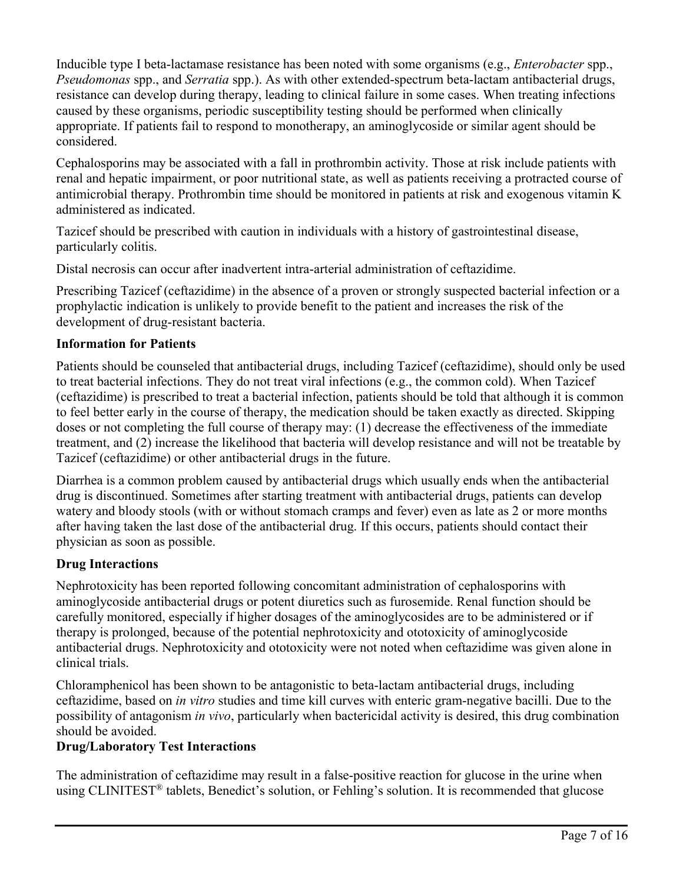Inducible type I beta-lactamase resistance has been noted with some organisms (e.g., *Enterobacter* spp., *Pseudomonas* spp., and *Serratia* spp.). As with other extended-spectrum beta-lactam antibacterial drugs, resistance can develop during therapy, leading to clinical failure in some cases. When treating infections caused by these organisms, periodic susceptibility testing should be performed when clinically appropriate. If patients fail to respond to monotherapy, an aminoglycoside or similar agent should be considered.

Cephalosporins may be associated with a fall in prothrombin activity. Those at risk include patients with renal and hepatic impairment, or poor nutritional state, as well as patients receiving a protracted course of antimicrobial therapy. Prothrombin time should be monitored in patients at risk and exogenous vitamin K administered as indicated.

Tazicef should be prescribed with caution in individuals with a history of gastrointestinal disease, particularly colitis.

Distal necrosis can occur after inadvertent intra-arterial administration of ceftazidime.

Prescribing Tazicef (ceftazidime) in the absence of a proven or strongly suspected bacterial infection or a prophylactic indication is unlikely to provide benefit to the patient and increases the risk of the development of drug-resistant bacteria.

# **Information for Patients**

Patients should be counseled that antibacterial drugs, including Tazicef (ceftazidime), should only be used to treat bacterial infections. They do not treat viral infections (e.g., the common cold). When Tazicef (ceftazidime) is prescribed to treat a bacterial infection, patients should be told that although it is common to feel better early in the course of therapy, the medication should be taken exactly as directed. Skipping doses or not completing the full course of therapy may: (1) decrease the effectiveness of the immediate treatment, and (2) increase the likelihood that bacteria will develop resistance and will not be treatable by Tazicef (ceftazidime) or other antibacterial drugs in the future.

Diarrhea is a common problem caused by antibacterial drugs which usually ends when the antibacterial drug is discontinued. Sometimes after starting treatment with antibacterial drugs, patients can develop watery and bloody stools (with or without stomach cramps and fever) even as late as 2 or more months after having taken the last dose of the antibacterial drug. If this occurs, patients should contact their physician as soon as possible.

# **Drug Interactions**

Nephrotoxicity has been reported following concomitant administration of cephalosporins with aminoglycoside antibacterial drugs or potent diuretics such as furosemide. Renal function should be carefully monitored, especially if higher dosages of the aminoglycosides are to be administered or if therapy is prolonged, because of the potential nephrotoxicity and ototoxicity of aminoglycoside antibacterial drugs. Nephrotoxicity and ototoxicity were not noted when ceftazidime was given alone in clinical trials.

Chloramphenicol has been shown to be antagonistic to beta-lactam antibacterial drugs, including ceftazidime, based on *in vitro* studies and time kill curves with enteric gram-negative bacilli. Due to the possibility of antagonism *in vivo*, particularly when bactericidal activity is desired, this drug combination should be avoided.

# **Drug/Laboratory Test Interactions**

The administration of ceftazidime may result in a false-positive reaction for glucose in the urine when using CLINITEST<sup>®</sup> tablets, Benedict's solution, or Fehling's solution. It is recommended that glucose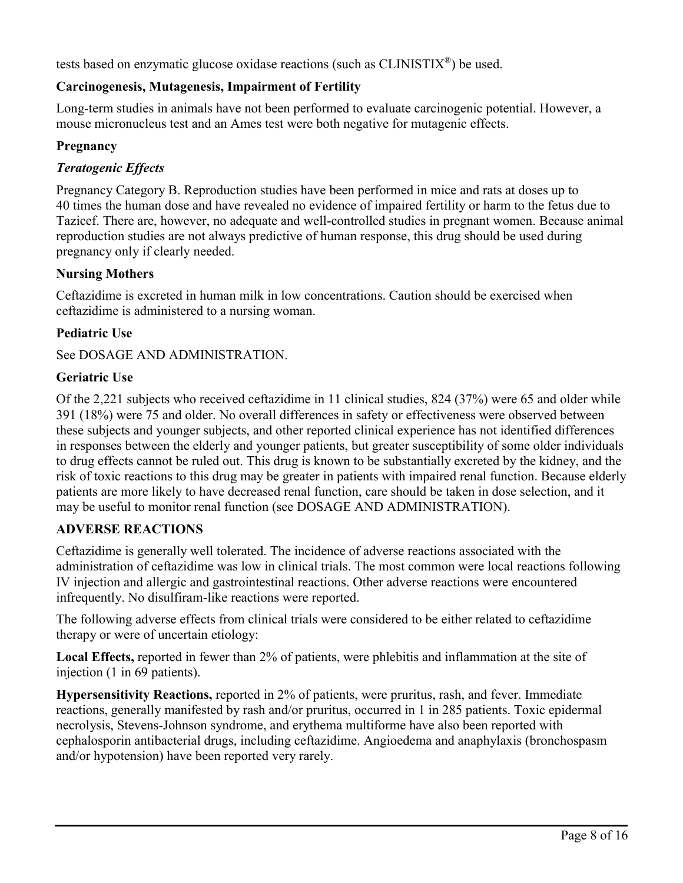tests based on enzymatic glucose oxidase reactions (such as CLINISTIX®) be used.

# **Carcinogenesis, Mutagenesis, Impairment of Fertility**

Long-term studies in animals have not been performed to evaluate carcinogenic potential. However, a mouse micronucleus test and an Ames test were both negative for mutagenic effects.

# **Pregnancy**

# *Teratogenic Effects*

Pregnancy Category B. Reproduction studies have been performed in mice and rats at doses up to 40 times the human dose and have revealed no evidence of impaired fertility or harm to the fetus due to Tazicef. There are, however, no adequate and well-controlled studies in pregnant women. Because animal reproduction studies are not always predictive of human response, this drug should be used during pregnancy only if clearly needed.

## **Nursing Mothers**

Ceftazidime is excreted in human milk in low concentrations. Caution should be exercised when ceftazidime is administered to a nursing woman.

## **Pediatric Use**

See DOSAGE AND ADMINISTRATION.

# **Geriatric Use**

Of the 2,221 subjects who received ceftazidime in 11 clinical studies, 824 (37%) were 65 and older while 391 (18%) were 75 and older. No overall differences in safety or effectiveness were observed between these subjects and younger subjects, and other reported clinical experience has not identified differences in responses between the elderly and younger patients, but greater susceptibility of some older individuals to drug effects cannot be ruled out. This drug is known to be substantially excreted by the kidney, and the risk of toxic reactions to this drug may be greater in patients with impaired renal function. Because elderly patients are more likely to have decreased renal function, care should be taken in dose selection, and it may be useful to monitor renal function (see DOSAGE AND ADMINISTRATION).

## **ADVERSE REACTIONS**

Ceftazidime is generally well tolerated. The incidence of adverse reactions associated with the administration of ceftazidime was low in clinical trials. The most common were local reactions following IV injection and allergic and gastrointestinal reactions. Other adverse reactions were encountered infrequently. No disulfiram-like reactions were reported.

The following adverse effects from clinical trials were considered to be either related to ceftazidime therapy or were of uncertain etiology:

**Local Effects,** reported in fewer than 2% of patients, were phlebitis and inflammation at the site of injection (1 in 69 patients).

**Hypersensitivity Reactions,** reported in 2% of patients, were pruritus, rash, and fever. Immediate reactions, generally manifested by rash and/or pruritus, occurred in 1 in 285 patients. Toxic epidermal necrolysis, Stevens-Johnson syndrome, and erythema multiforme have also been reported with cephalosporin antibacterial drugs, including ceftazidime. Angioedema and anaphylaxis (bronchospasm and/or hypotension) have been reported very rarely.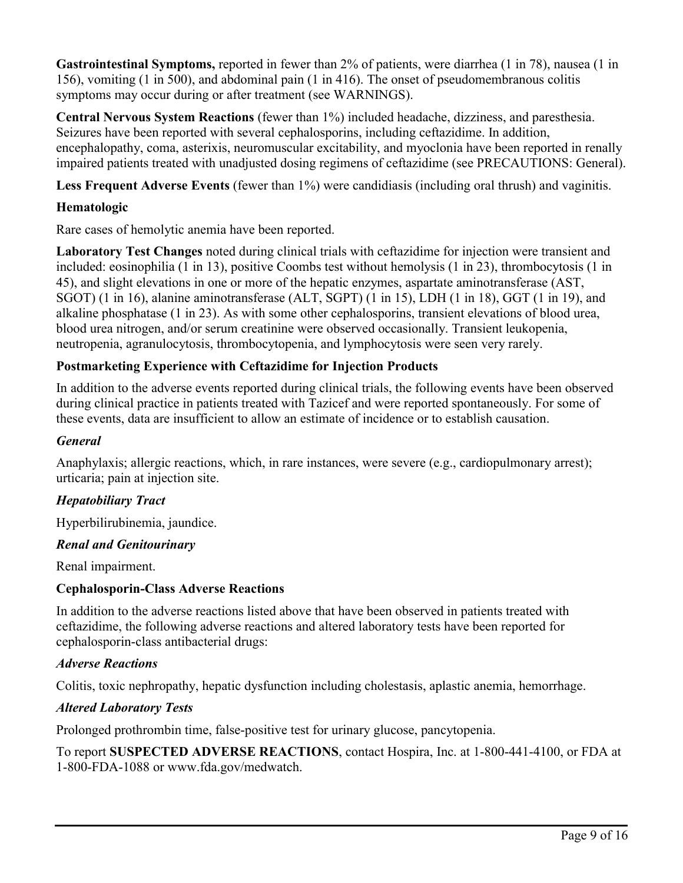**Gastrointestinal Symptoms,** reported in fewer than 2% of patients, were diarrhea (1 in 78), nausea (1 in 156), vomiting (1 in 500), and abdominal pain (1 in 416). The onset of pseudomembranous colitis symptoms may occur during or after treatment (see WARNINGS).

**Central Nervous System Reactions** (fewer than 1%) included headache, dizziness, and paresthesia. Seizures have been reported with several cephalosporins, including ceftazidime. In addition, encephalopathy, coma, asterixis, neuromuscular excitability, and myoclonia have been reported in renally impaired patients treated with unadjusted dosing regimens of ceftazidime (see PRECAUTIONS: General).

**Less Frequent Adverse Events** (fewer than 1%) were candidiasis (including oral thrush) and vaginitis.

# **Hematologic**

Rare cases of hemolytic anemia have been reported.

**Laboratory Test Changes** noted during clinical trials with ceftazidime for injection were transient and included: eosinophilia (1 in 13), positive Coombs test without hemolysis (1 in 23), thrombocytosis (1 in 45), and slight elevations in one or more of the hepatic enzymes, aspartate aminotransferase (AST, SGOT) (1 in 16), alanine aminotransferase (ALT, SGPT) (1 in 15), LDH (1 in 18), GGT (1 in 19), and alkaline phosphatase (1 in 23). As with some other cephalosporins, transient elevations of blood urea, blood urea nitrogen, and/or serum creatinine were observed occasionally. Transient leukopenia, neutropenia, agranulocytosis, thrombocytopenia, and lymphocytosis were seen very rarely.

## **Postmarketing Experience with Ceftazidime for Injection Products**

In addition to the adverse events reported during clinical trials, the following events have been observed during clinical practice in patients treated with Tazicef and were reported spontaneously. For some of these events, data are insufficient to allow an estimate of incidence or to establish causation.

## *General*

Anaphylaxis; allergic reactions, which, in rare instances, were severe (e.g., cardiopulmonary arrest); urticaria; pain at injection site.

## *Hepatobiliary Tract*

Hyperbilirubinemia, jaundice.

## *Renal and Genitourinary*

Renal impairment.

## **Cephalosporin-Class Adverse Reactions**

In addition to the adverse reactions listed above that have been observed in patients treated with ceftazidime, the following adverse reactions and altered laboratory tests have been reported for cephalosporin-class antibacterial drugs:

## *Adverse Reactions*

Colitis, toxic nephropathy, hepatic dysfunction including cholestasis, aplastic anemia, hemorrhage.

## *Altered Laboratory Tests*

Prolonged prothrombin time, false-positive test for urinary glucose, pancytopenia.

To report **SUSPECTED ADVERSE REACTIONS**, contact Hospira, Inc. at 1-800-441-4100, or FDA at 1-800-FDA-1088 or www.fda.gov/medwatch.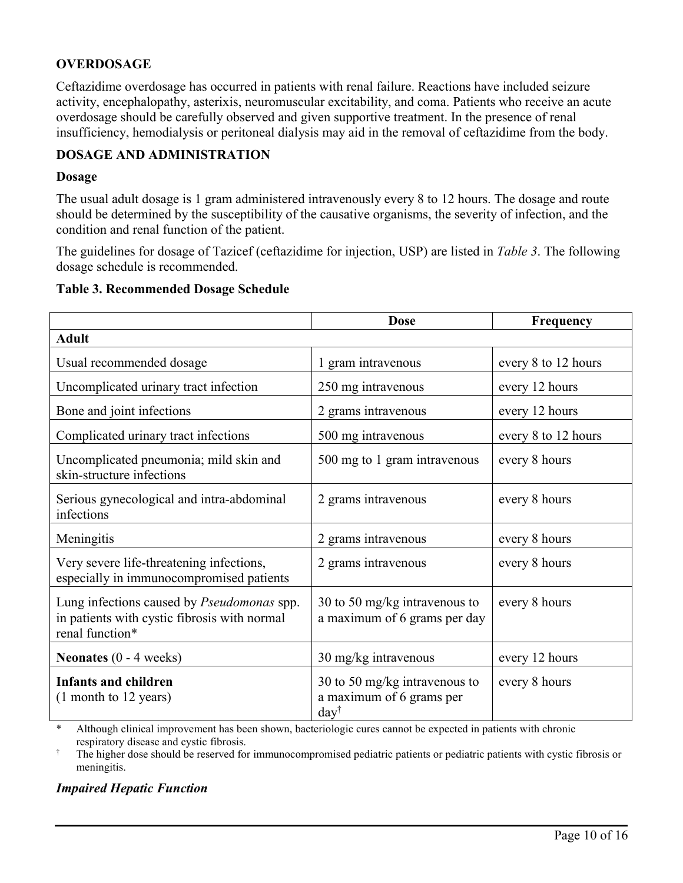## **OVERDOSAGE**

Ceftazidime overdosage has occurred in patients with renal failure. Reactions have included seizure activity, encephalopathy, asterixis, neuromuscular excitability, and coma. Patients who receive an acute overdosage should be carefully observed and given supportive treatment. In the presence of renal insufficiency, hemodialysis or peritoneal dialysis may aid in the removal of ceftazidime from the body.

#### **DOSAGE AND ADMINISTRATION**

#### **Dosage**

The usual adult dosage is 1 gram administered intravenously every 8 to 12 hours. The dosage and route should be determined by the susceptibility of the causative organisms, the severity of infection, and the condition and renal function of the patient.

The guidelines for dosage of Tazicef (ceftazidime for injection, USP) are listed in *Table 3*. The following dosage schedule is recommended.

#### **Table 3. Recommended Dosage Schedule**

|                                                                                                               | <b>Dose</b>                                                                  | <b>Frequency</b>    |
|---------------------------------------------------------------------------------------------------------------|------------------------------------------------------------------------------|---------------------|
| <b>Adult</b>                                                                                                  |                                                                              |                     |
| Usual recommended dosage                                                                                      | 1 gram intravenous                                                           | every 8 to 12 hours |
| Uncomplicated urinary tract infection                                                                         | 250 mg intravenous                                                           | every 12 hours      |
| Bone and joint infections                                                                                     | 2 grams intravenous                                                          | every 12 hours      |
| Complicated urinary tract infections                                                                          | 500 mg intravenous                                                           | every 8 to 12 hours |
| Uncomplicated pneumonia; mild skin and<br>skin-structure infections                                           | 500 mg to 1 gram intravenous                                                 | every 8 hours       |
| Serious gynecological and intra-abdominal<br>infections                                                       | 2 grams intravenous                                                          | every 8 hours       |
| Meningitis                                                                                                    | 2 grams intravenous                                                          | every 8 hours       |
| Very severe life-threatening infections,<br>especially in immunocompromised patients                          | 2 grams intravenous                                                          | every 8 hours       |
| Lung infections caused by Pseudomonas spp.<br>in patients with cystic fibrosis with normal<br>renal function* | 30 to 50 mg/kg intravenous to<br>a maximum of 6 grams per day                | every 8 hours       |
| <b>Neonates</b> $(0 - 4$ weeks)                                                                               | 30 mg/kg intravenous                                                         | every 12 hours      |
| <b>Infants and children</b><br>(1 month to 12 years)                                                          | 30 to 50 mg/kg intravenous to<br>a maximum of 6 grams per<br>$day^{\dagger}$ | every 8 hours       |

Although clinical improvement has been shown, bacteriologic cures cannot be expected in patients with chronic respiratory disease and cystic fibrosis.

† The higher dose should be reserved for immunocompromised pediatric patients or pediatric patients with cystic fibrosis or meningitis.

## *Impaired Hepatic Function*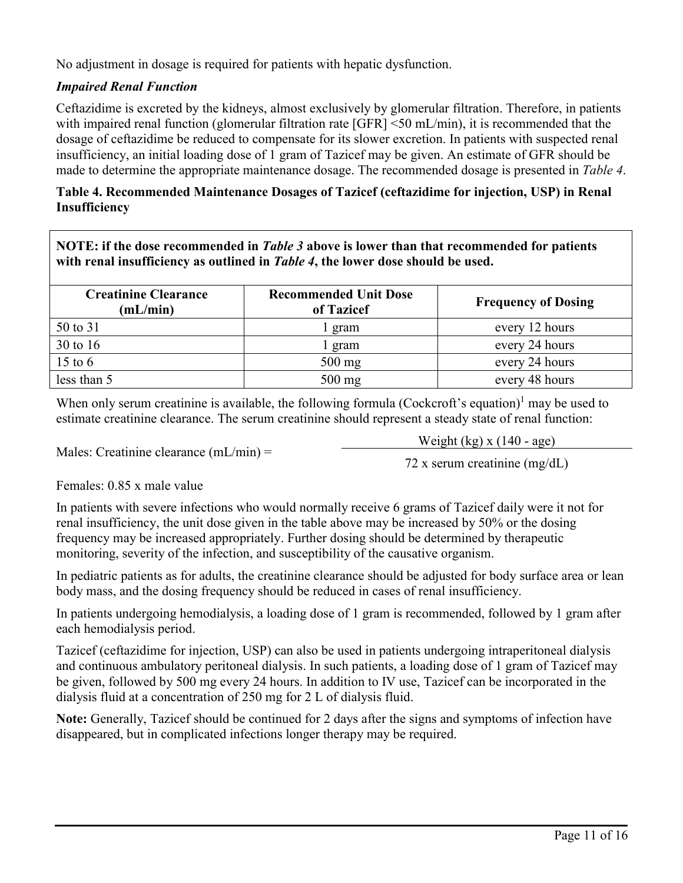No adjustment in dosage is required for patients with hepatic dysfunction.

## *Impaired Renal Function*

Ceftazidime is excreted by the kidneys, almost exclusively by glomerular filtration. Therefore, in patients with impaired renal function (glomerular filtration rate [GFR] <50 mL/min), it is recommended that the dosage of ceftazidime be reduced to compensate for its slower excretion. In patients with suspected renal insufficiency, an initial loading dose of 1 gram of Tazicef may be given. An estimate of GFR should be made to determine the appropriate maintenance dosage. The recommended dosage is presented in *Table 4*.

## **Table 4. Recommended Maintenance Dosages of Tazicef (ceftazidime for injection, USP) in Renal Insufficiency**

**NOTE: if the dose recommended in** *Table 3* **above is lower than that recommended for patients with renal insufficiency as outlined in** *Table 4***, the lower dose should be used.**

| <b>Creatinine Clearance</b><br>(mL/min) | <b>Recommended Unit Dose</b><br>of Tazicef | <b>Frequency of Dosing</b> |
|-----------------------------------------|--------------------------------------------|----------------------------|
| 50 to 31                                | l gram                                     | every 12 hours             |
| 30 to 16                                | l gram                                     | every 24 hours             |
| 15 to $6$                               | $500$ mg                                   | every 24 hours             |
| less than 5                             | $500$ mg                                   | every 48 hours             |

When only serum creatinine is available, the following formula (Cockcroft's equation)<sup>1</sup> may be used to estimate creatinine clearance. The serum creatinine should represent a steady state of renal function:

Males: Creatinine clearance (mL/min) =

Weight (kg)  $x(140 - age)$ 

72 x serum creatinine (mg/dL)

Females: 0.85 x male value

In patients with severe infections who would normally receive 6 grams of Tazicef daily were it not for renal insufficiency, the unit dose given in the table above may be increased by 50% or the dosing frequency may be increased appropriately. Further dosing should be determined by therapeutic monitoring, severity of the infection, and susceptibility of the causative organism.

In pediatric patients as for adults, the creatinine clearance should be adjusted for body surface area or lean body mass, and the dosing frequency should be reduced in cases of renal insufficiency.

In patients undergoing hemodialysis, a loading dose of 1 gram is recommended, followed by 1 gram after each hemodialysis period.

Tazicef (ceftazidime for injection, USP) can also be used in patients undergoing intraperitoneal dialysis and continuous ambulatory peritoneal dialysis. In such patients, a loading dose of 1 gram of Tazicef may be given, followed by 500 mg every 24 hours. In addition to IV use, Tazicef can be incorporated in the dialysis fluid at a concentration of 250 mg for 2 L of dialysis fluid.

**Note:** Generally, Tazicef should be continued for 2 days after the signs and symptoms of infection have disappeared, but in complicated infections longer therapy may be required.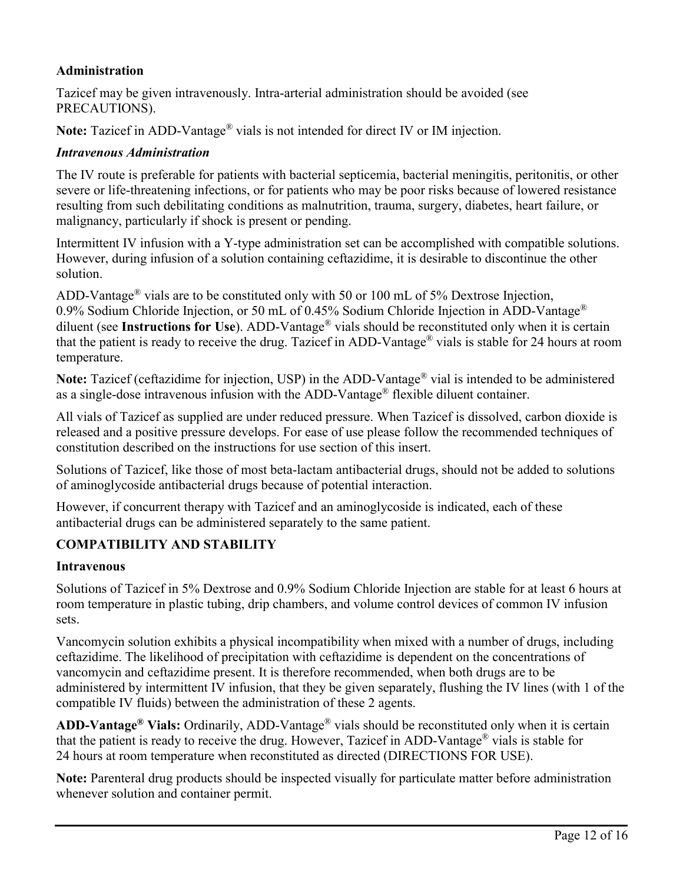## **Administration**

Tazicef may be given intravenously. Intra-arterial administration should be avoided (see PRECAUTIONS).

Note: Tazicef in ADD-Vantage<sup>®</sup> vials is not intended for direct IV or IM injection.

## *Intravenous Administration*

The IV route is preferable for patients with bacterial septicemia, bacterial meningitis, peritonitis, or other severe or life-threatening infections, or for patients who may be poor risks because of lowered resistance resulting from such debilitating conditions as malnutrition, trauma, surgery, diabetes, heart failure, or malignancy, particularly if shock is present or pending.

Intermittent IV infusion with a Y-type administration set can be accomplished with compatible solutions. However, during infusion of a solution containing ceftazidime, it is desirable to discontinue the other solution.

ADD-Vantage® vials are to be constituted only with 50 or 100 mL of 5% Dextrose Injection, 0.9% Sodium Chloride Injection, or 50 mL of 0.45% Sodium Chloride Injection in ADD-Vantage® diluent (see **Instructions for Use**). ADD-Vantage® vials should be reconstituted only when it is certain that the patient is ready to receive the drug. Tazicef in ADD-Vantage® vials is stable for 24 hours at room temperature.

**Note:** Tazicef (ceftazidime for injection, USP) in the ADD-Vantage® vial is intended to be administered as a single-dose intravenous infusion with the ADD-Vantage® flexible diluent container.

All vials of Tazicef as supplied are under reduced pressure. When Tazicef is dissolved, carbon dioxide is released and a positive pressure develops. For ease of use please follow the recommended techniques of constitution described on the instructions for use section of this insert.

Solutions of Tazicef, like those of most beta-lactam antibacterial drugs, should not be added to solutions of aminoglycoside antibacterial drugs because of potential interaction.

However, if concurrent therapy with Tazicef and an aminoglycoside is indicated, each of these antibacterial drugs can be administered separately to the same patient.

# **COMPATIBILITY AND STABILITY**

## **Intravenous**

Solutions of Tazicef in 5% Dextrose and 0.9% Sodium Chloride Injection are stable for at least 6 hours at room temperature in plastic tubing, drip chambers, and volume control devices of common IV infusion sets.

Vancomycin solution exhibits a physical incompatibility when mixed with a number of drugs, including ceftazidime. The likelihood of precipitation with ceftazidime is dependent on the concentrations of vancomycin and ceftazidime present. It is therefore recommended, when both drugs are to be administered by intermittent IV infusion, that they be given separately, flushing the IV lines (with 1 of the compatible IV fluids) between the administration of these 2 agents.

**ADD-Vantage® Vials:** Ordinarily, ADD-Vantage® vials should be reconstituted only when it is certain that the patient is ready to receive the drug. However, Tazicef in ADD-Vantage® vials is stable for 24 hours at room temperature when reconstituted as directed (DIRECTIONS FOR USE).

**Note:** Parenteral drug products should be inspected visually for particulate matter before administration whenever solution and container permit.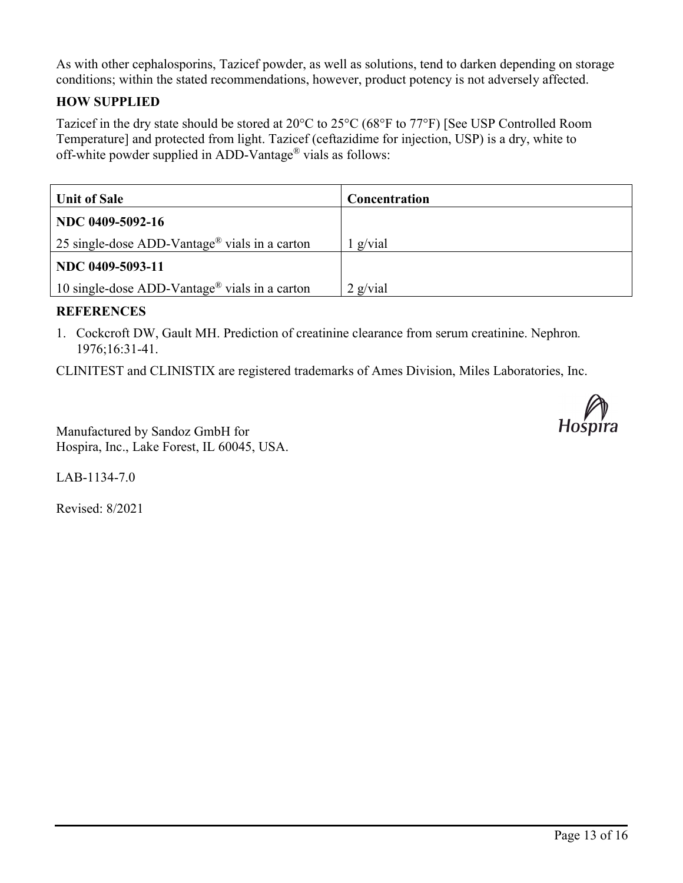As with other cephalosporins, Tazicef powder, as well as solutions, tend to darken depending on storage conditions; within the stated recommendations, however, product potency is not adversely affected.

# **HOW SUPPLIED**

Tazicef in the dry state should be stored at 20°C to 25°C (68°F to 77°F) [See USP Controlled Room Temperature] and protected from light. Tazicef (ceftazidime for injection, USP) is a dry, white to off-white powder supplied in ADD-Vantage ® vials as follows:

| Unit of Sale                                              | Concentration |
|-----------------------------------------------------------|---------------|
| NDC 0409-5092-16                                          |               |
| 25 single-dose ADD-Vantage <sup>®</sup> vials in a carton | $\lg$ /vial   |
| NDC 0409-5093-11                                          |               |
| 10 single-dose ADD-Vantage <sup>®</sup> vials in a carton | $2$ g/vial    |

#### **REFERENCES**

1. Cockcroft DW, Gault MH. Prediction of creatinine clearance from serum creatinine. Nephron*.* 1976;16:31-41.

CLINITEST and CLINISTIX are registered trademarks of Ames Division, Miles Laboratories, Inc.



Manufactured by Sandoz GmbH for Hospira, Inc., Lake Forest, IL 60045, USA.

LAB-1134-7.0

Revised: 8/2021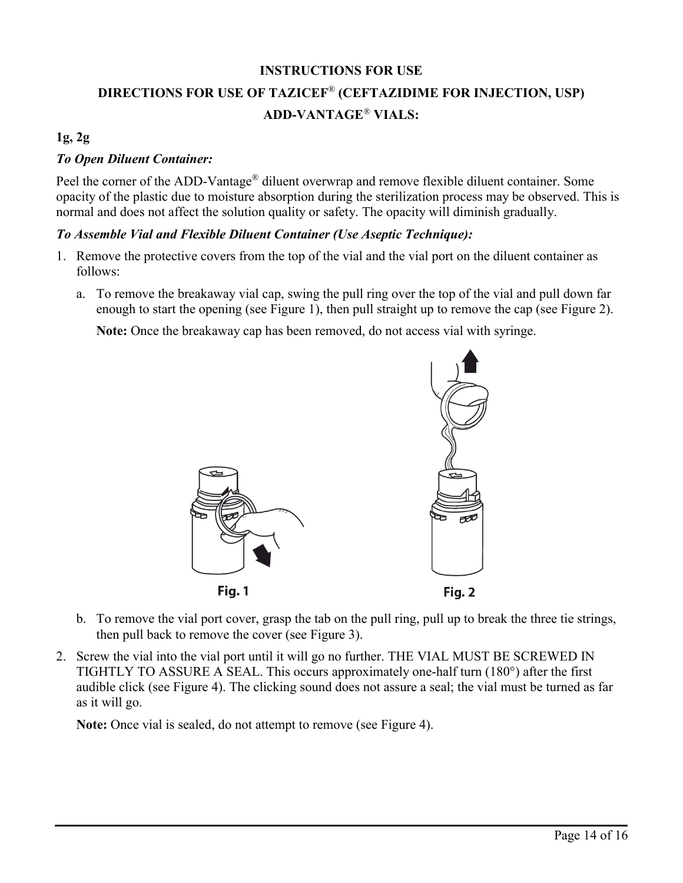# **INSTRUCTIONS FOR USE DIRECTIONS FOR USE OF TAZICEF**® **(CEFTAZIDIME FOR INJECTION, USP) ADD-VANTAGE**® **VIALS:**

## **1g, 2g**

## *To Open Diluent Container:*

Peel the corner of the ADD-Vantage® diluent overwrap and remove flexible diluent container. Some opacity of the plastic due to moisture absorption during the sterilization process may be observed. This is normal and does not affect the solution quality or safety. The opacity will diminish gradually.

#### *To Assemble Vial and Flexible Diluent Container (Use Aseptic Technique):*

- 1. Remove the protective covers from the top of the vial and the vial port on the diluent container as follows:
	- a. To remove the breakaway vial cap, swing the pull ring over the top of the vial and pull down far enough to start the opening (see Figure 1), then pull straight up to remove the cap (see Figure 2).

**Note:** Once the breakaway cap has been removed, do not access vial with syringe.



- b. To remove the vial port cover, grasp the tab on the pull ring, pull up to break the three tie strings, then pull back to remove the cover (see Figure 3).
- 2. Screw the vial into the vial port until it will go no further. THE VIAL MUST BE SCREWED IN TIGHTLY TO ASSURE A SEAL. This occurs approximately one-half turn (180°) after the first audible click (see Figure 4). The clicking sound does not assure a seal; the vial must be turned as far as it will go.

**Note:** Once vial is sealed, do not attempt to remove (see Figure 4).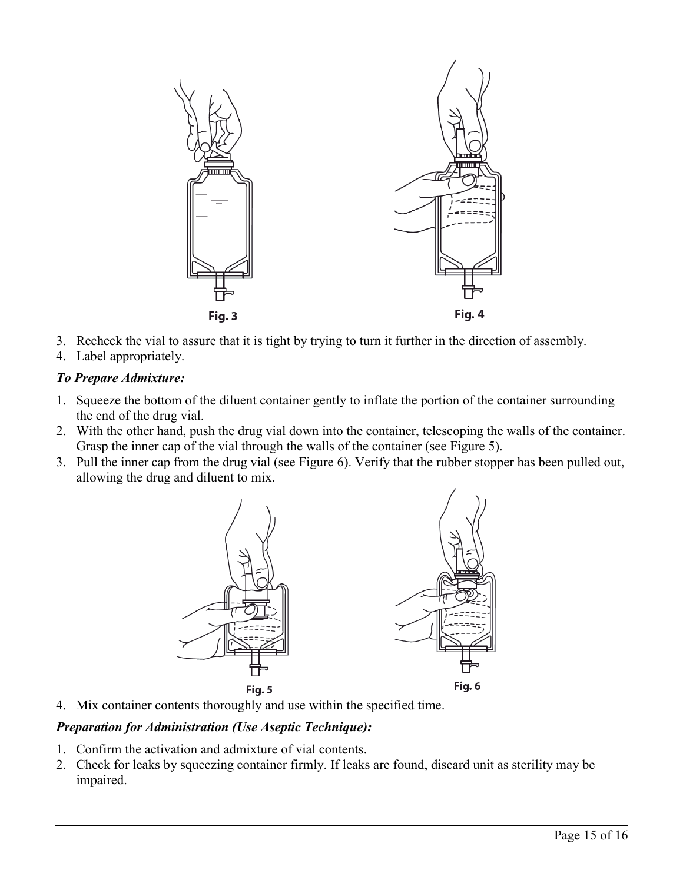

- 3. Recheck the vial to assure that it is tight by trying to turn it further in the direction of assembly.
- 4. Label appropriately.

## *To Prepare Admixture:*

- 1. Squeeze the bottom of the diluent container gently to inflate the portion of the container surrounding the end of the drug vial.
- 2. With the other hand, push the drug vial down into the container, telescoping the walls of the container. Grasp the inner cap of the vial through the walls of the container (see Figure 5).
- 3. Pull the inner cap from the drug vial (see Figure 6). Verify that the rubber stopper has been pulled out, allowing the drug and diluent to mix.



4. Mix container contents thoroughly and use within the specified time.

## *Preparation for Administration (Use Aseptic Technique):*

- 1. Confirm the activation and admixture of vial contents.
- 2. Check for leaks by squeezing container firmly. If leaks are found, discard unit as sterility may be impaired.